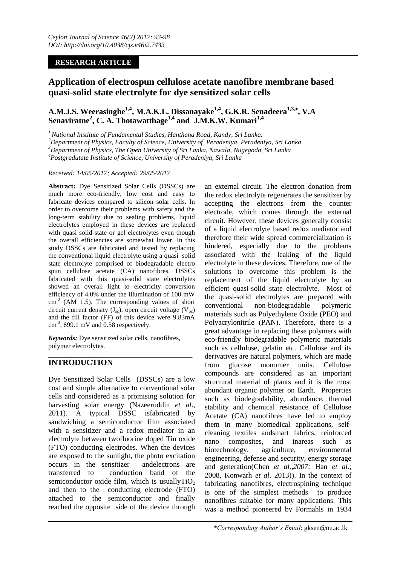## **RESEARCH ARTICLE**

# **Application of electrospun cellulose acetate nanofibre membrane based quasi-solid state electrolyte for dye sensitized solar cells**

**A.M.J.S. Weerasinghe1,4, M.A.K.L. Dissanayake1,4, G.K.R. Senadeera1,3, , V.A Senaviratne<sup>2</sup> , C. A. Thotawatthage1,4 and J.M.K.W. Kumari1,4**

*<sup>1</sup>National Institute of Fundamental Studies, Hanthana Road, Kandy, Sri Lanka.*

*<sup>2</sup>Department of Physics, Faculty of Science, University of Peradeniya, Peradeniya, Sri Lanka*

*<sup>3</sup>Department of Physics, The Open University of Sri Lanka, Nawala, Nugegoda, Sri Lanka*

*<sup>4</sup>Postgradutate Institute of Science, University of Peradeniya, Sri Lanka*

#### *Received: 14/05/2017; Accepted: 29/05/2017*

**Abstract:** Dye Sensitized Solar Cells (DSSCs) are much more eco-friendly, low cost and easy to fabricate devices compared to silicon solar cells. In order to overcome their problems with safety and the long-term stability due to sealing problems, liquid electrolytes employed in these devices are replaced with quasi solid-state or gel electrolytes even though the overall efficiencies are somewhat lower. In this study DSSCs are fabricated and tested by replacing the conventional liquid electrolyte using a quasi–solid state electrolyte comprised of biodegradable electro spun cellulose acetate (CA) nanofibres. DSSCs fabricated with this quasi-solid state electrolytes showed an overall light to electricity conversion efficiency of 4.0% under the illumination of 100 mW  $\text{cm}^{-2}$  (AM 1.5). The corresponding values of short circuit current density  $(J_{sc})$ , open circuit voltage  $(V_{oc})$ and the fill factor (FF) of this device were 9.83mA  $\text{cm}^2$ , 699.1 mV and 0.58 respectively.

*Keywords:* Dye sensitized solar cells, nanofibres, polymer electrolytes.

## **INTRODUCTION**

Dye Sensitized Solar Cells (DSSCs) are a low cost and simple alternative to conventional solar cells and considered as a promising solution for harvesting solar energy (Nazeeruddin *et al*., 2011). A typical DSSC isfabricated by sandwiching a semiconductor film associated with a sensitizer and a redox mediator in an electrolyte between twofluorine doped Tin oxide (FTO) conducting electrodes. When the devices are exposed to the sunlight, the photo excitation occurs in the sensitizer andelectrons are transferred to conduction band of the semiconductor oxide film, which is usually $TiO<sub>2</sub>$ and then to the conducting electrode (FTO) attached to the semiconductor and finally reached the opposite side of the device through

an external circuit. The electron donation from the redox electrolyte regenerates the sensitizer by accepting the electrons from the counter electrode, which comes through the external circuit. However, these devices generally consist of a liquid electrolyte based redox mediator and therefore their wide spread commercialization is hindered, especially due to the problems associated with the leaking of the liquid electrolyte in these devices. Therefore, one of the solutions to overcome this problem is the replacement of the liquid electrolyte by an efficient quasi-solid state electrolyte. Most of the quasi-solid electrolytes are prepared with conventional non-biodegradable polymeric materials such as Polyethylene Oxide (PEO) and Polyacrylonitrile (PAN). Therefore, there is a great advantage in replacing these polymers with eco-friendly biodegradable polymeric materials such as cellulose, gelatin etc. Cellulose and its derivatives are natural polymers, which are made from glucose monomer units. Cellulose compounds are considered as an important structural material of plants and it is the most abundant organic polymer on Earth. Properties such as biodegradability, abundance, thermal stability and chemical resistance of Cellulose Acetate (CA) nanofibres have led to employ them in many biomedical applications, selfcleaning textiles andsmart fabrics, reinforced nano composites, and inareas such as biotechnology, agriculture, environmental engineering, defense and security, energy storage and generation(Chen *et al.,2007;* Han *et al*.; 2008, Konwarh *et al*. 2013)). In the context of fabricating nanofibres, electrospining technique is one of the simplest methods to produce nanofibres suitable for many applications. This was a method pioneered by Formahls in 1934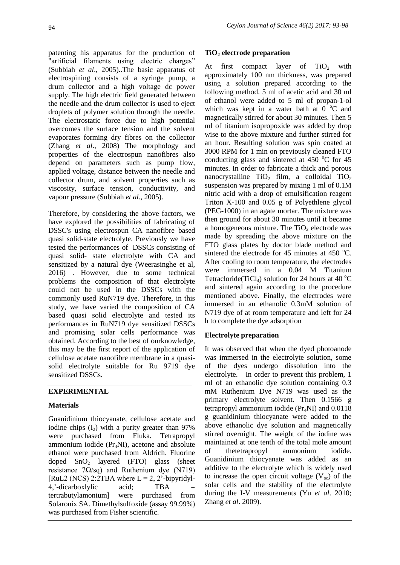patenting his apparatus for the production of "artificial filaments using electric charges" (Subbiah *et al*., 2005)..The basic apparatus of electrospining consists of a syringe pump, a drum collector and a high voltage dc power supply. The high electric field generated between the needle and the drum collector is used to eject droplets of polymer solution through the needle. The electrostatic force due to high potential overcomes the surface tension and the solvent evaporates forming dry fibres on the collector (Zhang *et al*., 2008) The morphology and properties of the electrospun nanofibres also depend on parameters such as pump flow, applied voltage, distance between the needle and collector drum, and solvent properties such as viscosity, surface tension, conductivity, and vapour pressure (Subbiah *et al*., 2005).

Therefore, by considering the above factors, we have explored the possibilities of fabricating of DSSC's using electrospun CA nanofibre based quasi solid-state electrolyte. Previously we have tested the performances of DSSCs consisting of quasi solid- state electrolyte with CA and sensitized by a natural dye (Weerasinghe et al, 2016) . However, due to some technical problems the composition of that electrolyte could not be used in the DSSCs with the commonly used RuN719 dye. Therefore, in this study, we have varied the composition of CA based quasi solid electrolyte and tested its performances in RuN719 dye sensitized DSSCs and promising solar cells performance was obtained. According to the best of ourknowledge, this may be the first report of the application of cellulose acetate nanofibre membrane in a quasisolid electrolyte suitable for Ru 9719 dye sensitized DSSCs.

## **EXPERIMENTAL**

## **Materials**

Guanidinium thiocyanate, cellulose acetate and iodine chips  $(I_2)$  with a purity greater than 97% were purchased from Fluka. Tetrapropyl ammonium iodide  $(Pr_ANI)$ , acetone and absolute ethanol were purchased from Aldrich. Fluorine doped  $SnO<sub>2</sub>$  layered (FTO) glass (sheet resistance 7Ω/sq) and Ruthenium dye (N719) [RuL2 (NCS) 2:2TBA where  $L = 2$ , 2'-bipyridyl-4, '-dicarboxlylic acid; TBA tertrabutylamonium] were purchased from Solaronix SA. Dimethylsulfoxide (assay 99.99%) was purchased from Fisher scientific.

## **TiO<sup>2</sup> electrode preparation**

At first compact layer of  $TiO<sub>2</sub>$  with approximately 100 nm thickness, was prepared using a solution prepared according to the following method. 5 ml of acetic acid and 30 ml of ethanol were added to 5 ml of propan-1-ol which was kept in a water bath at  $0^{\circ}$ C and magnetically stirred for about 30 minutes. Then 5 ml of titanium isopropoxide was added by drop wise to the above mixture and further stirred for an hour. Resulting solution was spin coated at 3000 RPM for 1 min on previously cleaned FTO conducting glass and sintered at  $450^{\circ}$ C for  $45^{\circ}$ minutes. In order to fabricate a thick and porous nanocrystalline  $TiO<sub>2</sub>$  film, a colloidal  $TiO<sub>2</sub>$ suspension was prepared by mixing 1 ml of 0.1M nitric acid with a drop of emulsification reagent Triton X-100 and 0.05 g of Polyethlene glycol (PEG-1000) in an agate mortar. The mixture was then ground for about 30 minutes until it became a homogeneous mixture. The  $TiO<sub>2</sub>$  electrode was made by spreading the above mixture on the FTO glass plates by doctor blade method and sintered the electrode for 45 minutes at 450  $^{\circ}$ C. After cooling to room temperature, the electrodes were immersed in a 0.04 M Titanium Tetracloride(TiCl<sub>4</sub>) solution for 24 hours at 40 °C and sintered again according to the procedure mentioned above. Finally, the electrodes were immersed in an ethanolic 0.3mM solution of N719 dye of at room temperature and left for 24 h to complete the dye adsorption

## **Electrolyte preparation**

It was observed that when the dyed photoanode was immersed in the electrolyte solution, some of the dyes undergo dissolution into the electrolyte. In order to prevent this problem, 1 ml of an ethanolic dye solution containing 0.3 mM Ruthenium Dye N719 was used as the primary electrolyte solvent. Then 0.1566 g tetrapropyl ammonium iodide  $(Pr_ANI)$  and  $0.0118$ g guanidinium thiocyanate were added to the above ethanolic dye solution and magnetically stirred overnight. The weight of the iodine was maintained at one tenth of the total mole amount of thetetrapropyl ammonium iodide. Guanidinium thiocyanate was added as an additive to the electrolyte which is widely used to increase the open circuit voltage  $(V_{\infty})$  of the solar cells and the stability of the electrolyte during the I-V measurements (Yu *et al*. 2010; Zhang *et al*. 2009).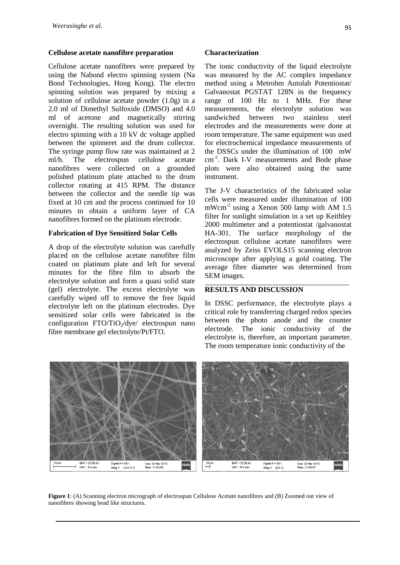#### **Cellulose acetate nanofibre preparation**

Cellulose acetate nanofibres were prepared by using the Nabond electro spinning system (Na Bond Technologies, Hong Kong). The electro spinning solution was prepared by mixing a solution of cellulose acetate powder (1.0g) in a 2.0 ml of Dimethyl Sulfoxide (DMSO) and 4.0 ml of acetone and magnetically stirring overnight. The resulting solution was used for electro spinning with a 10 kV dc voltage applied between the spinneret and the drum collector. The syringe pump flow rate was maintained at 2 ml/h. The electrospun cellulose acetate nanofibres were collected on a grounded polished platinum plate attached to the drum collector rotating at 415 RPM. The distance between the collector and the needle tip was fixed at 10 cm and the process continued for 10 minutes to obtain a uniform layer of CA nanofibres formed on the platinum electrode.

#### **Fabrication of Dye Sensitized Solar Cells**

A drop of the electrolyte solution was carefully placed on the cellulose acetate nanofibre film coated on platinum plate and left for several minutes for the fibre film to absorb the electrolyte solution and form a quasi solid state (gel) electrolyte. The excess electrolyte was carefully wiped off to remove the free liquid electrolyte left on the platinum electrodes. Dye sensitized solar cells were fabricated in the configuration  $FTO/TiO_2/dye/$  electrospun nano fibre membrane gel electrolyte/Pt/FTO.

#### **Characterization**

The ionic conductivity of the liquid electrolyte was measured by the AC complex impedance method using a Metrohm Autolab Potentiostat/ Galvanostat PGSTAT 128N in the frequency range of 100 Hz to 1 MHz. For these measurements, the electrolyte solution was sandwiched between two stainless steel electrodes and the measurements were done at room temperature. The same equipment was used for electrochemical impedance measurements of the DSSCs under the illumination of 100 mW cm-2 . Dark I-V measurements and Bode phase plots were also obtained using the same instrument.

The J-V characteristics of the fabricated solar cells were measured under illumination of 100 mWcm<sup>-2</sup> using a Xenon 500 lamp with AM 1.5 filter for sunlight simulation in a set up Keithley 2000 multimeter and a potentiostat /galvanostat HA-301. The surface morphology of the electrospun cellulose acetate nanofibres were analyzed by Zeiss EVOLS15 scanning electron microscope after applying a gold coating. The average fibre diameter was determined from SEM images.

### **RESULTS AND DISCUSSION**

In DSSC performance, the electrolyte plays a critical role by transferring charged redox species between the photo anode and the counter electrode. The ionic conductivity of the electrolyte is, therefore, an important parameter. The room temperature ionic conductivity of the



**Figure 1**: (A) Scanning electron micrograph of electrospun Cellulose Acetate nanofibres and (B) Zoomed out view of nanofibres showing bead like structures.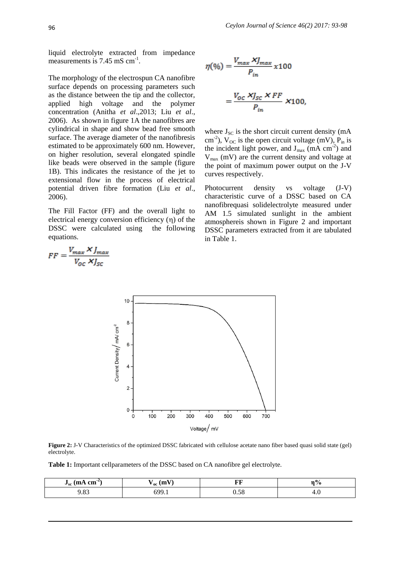liquid electrolyte extracted from impedance measurements is 7.45 mS cm<sup>-1</sup>.

The morphology of the electrospun CA nanofibre surface depends on processing parameters such as the distance between the tip and the collector, applied high voltage and the polymer concentration (Anitha *et al*.,2013; Liu *et al*., 2006). As shown in figure 1A the nanofibres are cylindrical in shape and show bead free smooth surface. The average diameter of the nanofibresis estimated to be approximately 600 nm. However, on higher resolution, several elongated spindle like beads were observed in the sample (figure 1B). This indicates the resistance of the jet to extensional flow in the process of electrical potential driven fibre formation (Liu *et al*., 2006).

The Fill Factor (FF) and the overall light to electrical energy conversion efficiency  $(\eta)$  of the DSSC were calculated using the following equations.

$$
\eta(\mathcal{Y}_0) = \frac{V_{max} \times J_{max}}{P_{in}} \times 100
$$

$$
= \frac{V_{OC} \times J_{SC} \times FF}{P_{in}} \times 100,
$$

where  $J_{SC}$  is the short circuit current density (mA cm<sup>-2</sup>),  $V_{OC}$  is the open circuit voltage (mV),  $P_{in}$  is the incident light power, and  $J_{max}$  (mA cm<sup>-2</sup>) and  $V_{\text{max}}$  (mV) are the current density and voltage at the point of maximum power output on the J-V curves respectively.

Photocurrent density vs voltage (J-V) characteristic curve of a DSSC based on CA nanofibrequasi solidelectrolyte measured under AM 1.5 simulated sunlight in the ambient atmosphereis shown in Figure 2 and important DSSC parameters extracted from it are tabulated in Table 1.



**Figure 2:** J-V Characteristics of the optimized DSSC fabricated with cellulose acetate nano fiber based quasi solid state (gel) electrolyte.

**Table 1:** Important cellparameters of the DSSC based on CA nanofibre gel electrolyte.

| $\mathbf{m}$ and $\mathbf{m}$ <sup>-25</sup><br>km <sub>h</sub><br>$\mathbf{u}_{\rm sc}$ $\mathbf{v}$ | $\mathrm{v_{oc}}$ (m) | юю<br>r c   | 70  |
|-------------------------------------------------------------------------------------------------------|-----------------------|-------------|-----|
| $\circ$<br>.05                                                                                        | :oc                   | E C<br>U.J8 | т.∪ |

$$
FF = \frac{V_{max} \times J_{max}}{V_{OC} \times J_{SC}}
$$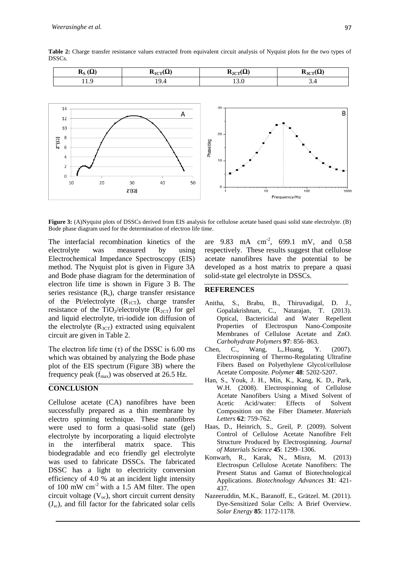8  $Z''(\Omega)$ 

6  $\overline{4}$ 

> $\overline{2}$  $\Omega$ 10

20

30

 $Z'(\Omega)$ 

**Table 2:** Charge transfer resistance values extracted from equivalent circuit analysis of Nyquist plots for the two types of DSSCs.



**Phase/deg** 

 $10$ 

 $\mathbf{r}$ h

40

e

50

a

a

Figure 3: (A)Nyquist plots of DSSCs derived from EIS analysis for cellulose acetate based quasi solid state electrolyte. (B) Bode phase diagram used for the determination of electron life time. a

The interfacial recombination kinetics of the electrolyte was measured by Electrochemical Impedance Spectroscopy (EIS) a method. The Nyquist plot is given in Figure 3A and Bode phase diagram for the determination of electron life time is shown in Figure 3 B. The series resistance  $(R_s)$ , charge transfer resistance of the Pt/electrolyte  $(R<sub>1CT</sub>)$ , charge transfer resistance of the TiO<sub>2</sub>/electrolyte  $(R_{2CT})$  for gel and liquid electrolyte, tri-iodide ion diffusion of h the electrolyte  $(R_{3CT})$  extracted using equivalent circuit are given in Table 2. using

The electron life time  $(\tau)$  of the DSSC is 6.00 ms which was obtained by analyzing the Bode phase plot of the EIS spectrum (Figure 3B) where the frequency peak  $(f_{max})$  was observed at 26.5 Hz.

## **CONCLUSION**

Cellulose acetate (CA) nanofibres have been  $\frac{1}{2}$  successfully prepared as a thin membrane by electro spinning technique. These nanofibres were used to form a quasi-solid state  $(gel)$ electrolyte by incorporating a liquid electrolyte in the interfiberal matrix space. biodegradable and eco friendly gel electrolyte was used to fabricate DSSCs. The fabricated DSSC has a light to electricity conversion  $\frac{1}{2}$  efficiency of 4.0 % at an incident light intensity of  $100 \text{ mW cm}^{-2}$  with a 1.5 AM filter. The open circuit voltage  $(V<sub>oc</sub>)$ , short circuit current density  $(J_{sc})$ , and fill factor for the fabricated solar cells l. This

are  $9.83$  mA  $\text{cm}^2$ ,  $699.1$  mV, and  $0.58$ respectively. These results suggest that cellulose r acetate nanofibres have the potential to be a developed as a host matrix to prepare a quasi solid-state gel electrolyte in DSSCs.

Frequency/Hz

 $10$ 

#### **REFERENCES**

- Anitha, S., Brabu, B., Thiruvadigal, Gopalakrishnan, C., Natarajan, T. Optical, Bactericidal and Water Repellent Properties of Electrospun Nano-Composite Membranes of Cellulose Acetate and ZnO. *Carbohydrate Polymers* **97**: 856–863. D. J.,  $(2013).$
- Chen, C., Wang, L,.Huang, Y. Electrospinning of Thermo-Regulating Ultrafine Fibers Based on Polyethylene Glycol/cellulose Acetate Composite. *Polymer* **48**: 5202-5207.  $(2007).$
- Han, S., Youk, J. H., Min, K., Kang, K. D., Park, W.H. (2008). Electrospinning of Cellulose Acetate Nanofibers Using a Mixed Solvent of b Acetic Acid/water: Effects of Composition on the Fiber Diameter. *Materials*<br>Letters **62**: 759 762 *Letters* **62**: 759-762. Solvent
- Haas, D., Heinrich, S., Greil, P. (2009). Solvent Control of Cellulose Acetate Nanofibre Felt Structure Produced by Electrospinning*. Journal* e *of Materials Science* **45**: 1299–1306.
- Konwarh, R., Karak, N., Misra, M. (2013) Electrospun Cellulose Acetate Nanofibers: The Present Status and Gamut of Biotechnological Applications. *Biotechnology Advances* **31**: 421- h 437.
- Nazeeruddin, M.K., Baranoff, E., Grätzel. M. (2011). C Dye-Sensitized Solar Cells: A Brief Overview. A *Solar Energy* **85**: 1172-1178.

a

h

 $100$ 

1000